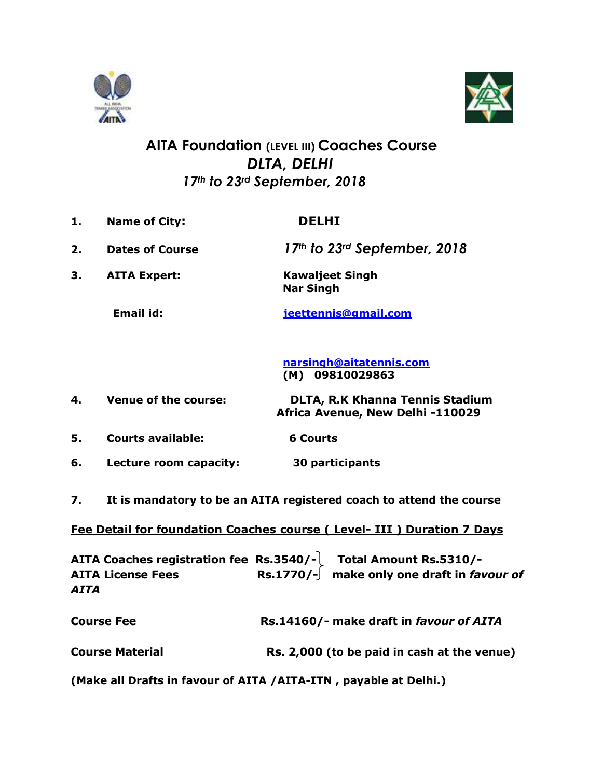



## **AITA Foundation (LEVEL III) Coaches Course**  *DLTA, DELHI 17th to 23rd September, 2018*

- **1. Name of City: DELHI 2. Dates of Course** *17th to 23rd September, 2018* **3. AITA Expert: Kawaljeet Singh Nar Singh Email id: [jeettennis@gmail.com](mailto:jeettennis@gmail.com) [narsingh@aitatennis.com](mailto:narsingh@aitatennis.com) (M) 09810029863 4. Venue of the course: DLTA, R.K Khanna Tennis Stadium Africa Avenue, New Delhi -110029 5. Courts available: 6 Courts 6. Lecture room capacity: 30 participants**
- **7. It is mandatory to be an AITA registered coach to attend the course**

## **Fee Detail for foundation Coaches course ( Level- III ) Duration 7 Days**

**AITA Coaches registration fee Rs.3540/- Total Amount Rs.5310/- AITA License Fees Rs.1770/- make only one draft in** *favour of AITA* 

| <b>Course Fee</b> | Rs.14160/- make draft in favour of AITA |
|-------------------|-----------------------------------------|
|                   |                                         |

**Course Material Rs. 2,000 (to be paid in cash at the venue)**

**(Make all Drafts in favour of AITA /AITA-ITN , payable at Delhi.)**